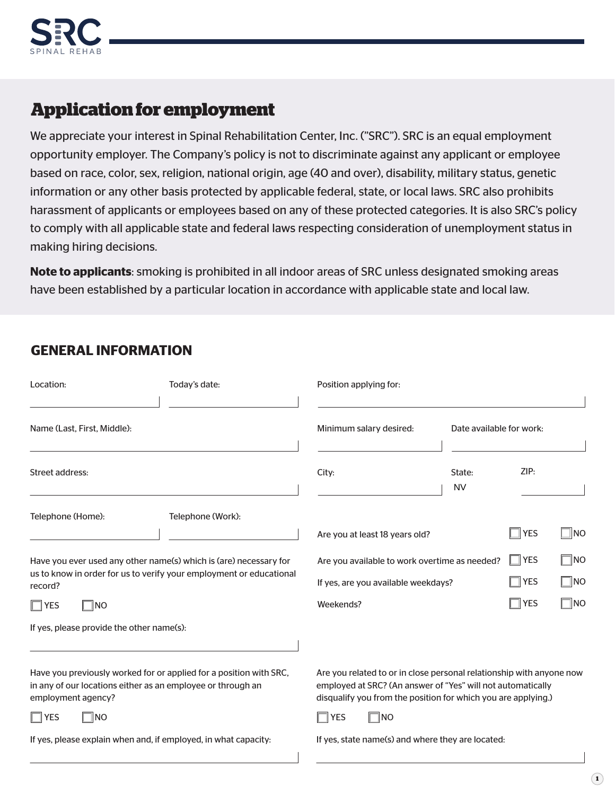

# **Application for employment**

We appreciate your interest in Spinal Rehabilitation Center, Inc. ("SRC"). SRC is an equal employment opportunity employer. The Company's policy is not to discriminate against any applicant or employee based on race, color, sex, religion, national origin, age (40 and over), disability, military status, genetic information or any other basis protected by applicable federal, state, or local laws. SRC also prohibits harassment of applicants or employees based on any of these protected categories. It is also SRC's policy to comply with all applicable state and federal laws respecting consideration of unemployment status in making hiring decisions.

**Note to applicants**: smoking is prohibited in all indoor areas of SRC unless designated smoking areas have been established by a particular location in accordance with applicable state and local law.

#### **GENERAL INFORMATION**

| Location:                                                                                                                                               | Today's date:                                                                                                                            | Position applying for:                                                                                                                                                                               |                          |                          |                           |  |
|---------------------------------------------------------------------------------------------------------------------------------------------------------|------------------------------------------------------------------------------------------------------------------------------------------|------------------------------------------------------------------------------------------------------------------------------------------------------------------------------------------------------|--------------------------|--------------------------|---------------------------|--|
| Name (Last, First, Middle):                                                                                                                             |                                                                                                                                          | Minimum salary desired:                                                                                                                                                                              | Date available for work: |                          |                           |  |
| <b>Street address:</b>                                                                                                                                  |                                                                                                                                          | City:                                                                                                                                                                                                | State:<br><b>NV</b>      | ZIP:                     |                           |  |
| Telephone (Home):                                                                                                                                       | Telephone (Work):                                                                                                                        | Are you at least 18 years old?                                                                                                                                                                       |                          | <b>YES</b>               | ∥NO                       |  |
| record?                                                                                                                                                 | Have you ever used any other name(s) which is (are) necessary for<br>us to know in order for us to verify your employment or educational | Are you available to work overtime as needed?<br>If yes, are you available weekdays?                                                                                                                 |                          | <b>YES</b><br><b>YES</b> | $\Box$ No<br>$\square$ NO |  |
| $\Box$ YES<br><b>NO</b><br>If yes, please provide the other name(s):                                                                                    |                                                                                                                                          | Weekends?                                                                                                                                                                                            |                          | <b>YES</b>               | $\Box$ NO                 |  |
| Have you previously worked for or applied for a position with SRC,<br>in any of our locations either as an employee or through an<br>employment agency? |                                                                                                                                          | Are you related to or in close personal relationship with anyone now<br>employed at SRC? (An answer of "Yes" will not automatically<br>disqualify you from the position for which you are applying.) |                          |                          |                           |  |
| $\exists$ YES<br>∃∣no<br>If yes, please explain when and, if employed, in what capacity:                                                                |                                                                                                                                          | <b>YES</b><br>∥NO<br>If yes, state name(s) and where they are located:                                                                                                                               |                          |                          |                           |  |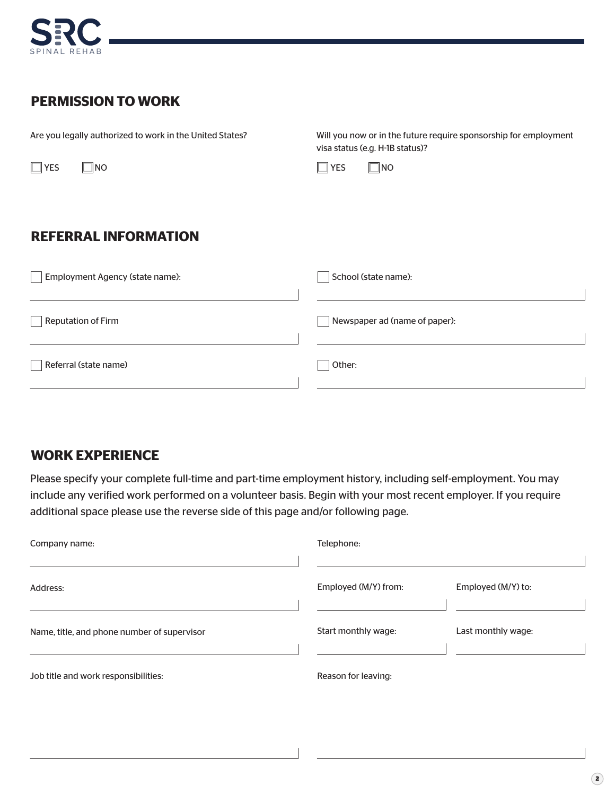

#### **PERMISSION TO WORK**

| Are you legally authorized to work in the United States? | Will you now or in the future require sponsorship for employment<br>visa status (e.g. H-1B status)? |  |  |  |
|----------------------------------------------------------|-----------------------------------------------------------------------------------------------------|--|--|--|
| $\Box$ YES<br>$\blacksquare$ NO                          | $\Box$ NO<br>$\Box$ YES                                                                             |  |  |  |
|                                                          |                                                                                                     |  |  |  |
| <b>REFERRAL INFORMATION</b>                              |                                                                                                     |  |  |  |
| Employment Agency (state name):                          | School (state name):                                                                                |  |  |  |
| <b>Reputation of Firm</b>                                | Newspaper ad (name of paper):                                                                       |  |  |  |
| Referral (state name)                                    | Other:                                                                                              |  |  |  |

# **WORK EXPERIENCE**

Please specify your complete full-time and part-time employment history, including self-employment. You may include any verified work performed on a volunteer basis. Begin with your most recent employer. If you require additional space please use the reverse side of this page and/or following page.

| Company name:                               | Telephone:           |                    |
|---------------------------------------------|----------------------|--------------------|
| Address:                                    | Employed (M/Y) from: | Employed (M/Y) to: |
| Name, title, and phone number of supervisor | Start monthly wage:  | Last monthly wage: |
| Job title and work responsibilities:        | Reason for leaving:  |                    |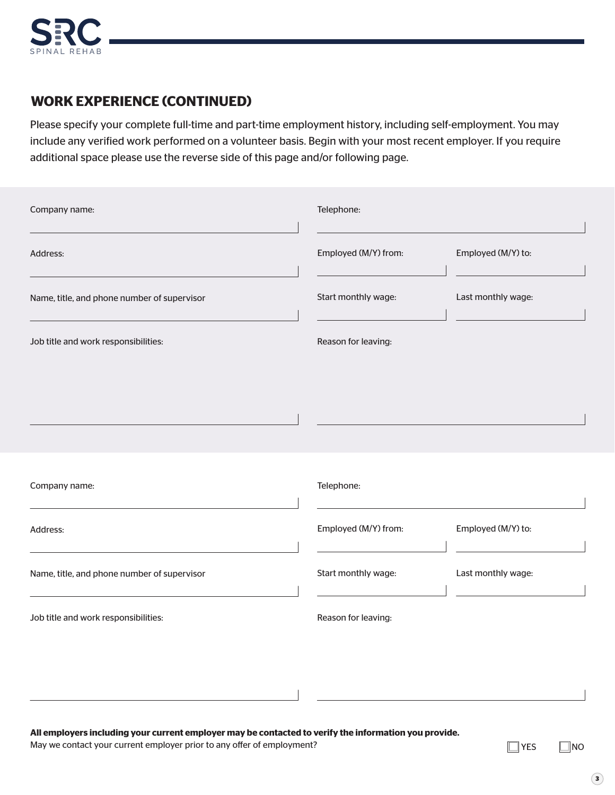

#### **WORK EXPERIENCE (CONTINUED)**

Please specify your complete full-time and part-time employment history, including self-employment. You may include any verified work performed on a volunteer basis. Begin with your most recent employer. If you require additional space please use the reverse side of this page and/or following page.

| Company name:                               | Telephone:           |                    |
|---------------------------------------------|----------------------|--------------------|
| Address:                                    | Employed (M/Y) from: | Employed (M/Y) to: |
| Name, title, and phone number of supervisor | Start monthly wage:  | Last monthly wage: |
| Job title and work responsibilities:        | Reason for leaving:  |                    |
|                                             |                      |                    |
|                                             |                      |                    |
| Company name:                               | Telephone:           |                    |
| Address:                                    | Employed (M/Y) from: | Employed (M/Y) to: |
| Name, title, and phone number of supervisor | Start monthly wage:  | Last monthly wage: |
| Job title and work responsibilities:        | Reason for leaving:  |                    |
|                                             |                      |                    |
|                                             |                      |                    |

**All employers including your current employer may be contacted to verify the information you provide.**

May we contact your current employer prior to any offer of employment?<br>  $\Box$  YES  $\Box$  NO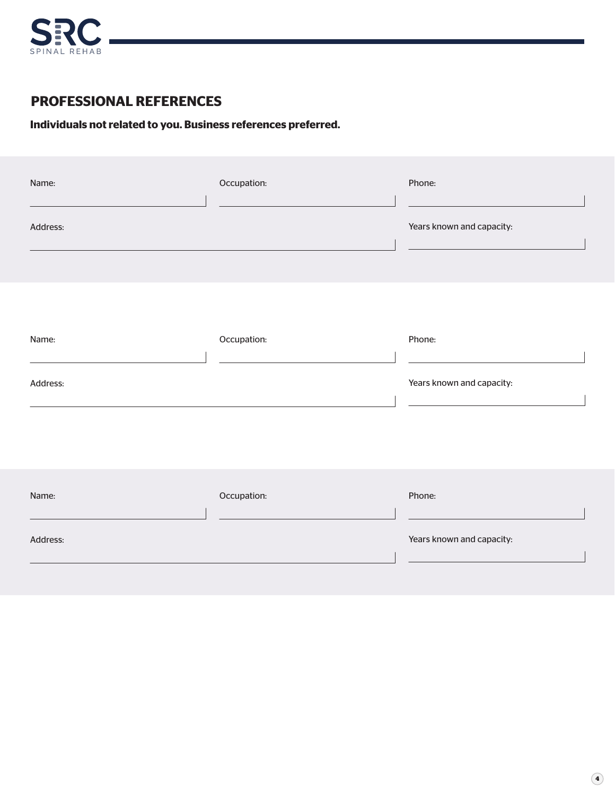

#### **PROFESSIONAL REFERENCES**

#### **Individuals not related to you. Business references preferred.**

| Name:    | Occupation: | Phone:                    |
|----------|-------------|---------------------------|
| Address: |             | Years known and capacity: |
|          |             |                           |
| Name:    | Occupation: | Phone:                    |
| Address: |             | Years known and capacity: |
|          |             |                           |
| Name:    | Occupation: | Phone:                    |
| Address: |             | Years known and capacity: |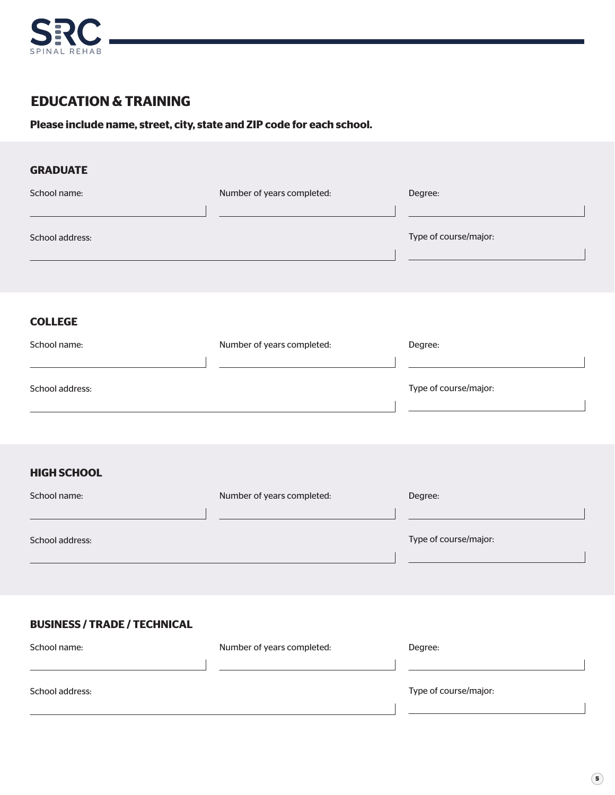

## **EDUCATION & TRAINING**

**Please include name, street, city, state and ZIP code for each school.**

| <b>GRADUATE</b>                     |                            |                       |
|-------------------------------------|----------------------------|-----------------------|
| School name:                        | Number of years completed: | Degree:               |
| School address:                     |                            | Type of course/major: |
| <b>COLLEGE</b>                      |                            |                       |
| School name:                        | Number of years completed: | Degree:               |
| School address:                     |                            | Type of course/major: |
| <b>HIGH SCHOOL</b>                  |                            |                       |
| School name:                        | Number of years completed: | Degree:               |
| School address:                     |                            | Type of course/major: |
| <b>BUSINESS / TRADE / TECHNICAL</b> |                            |                       |
| School name:                        | Number of years completed: | Degree:               |
| School address:                     |                            | Type of course/major: |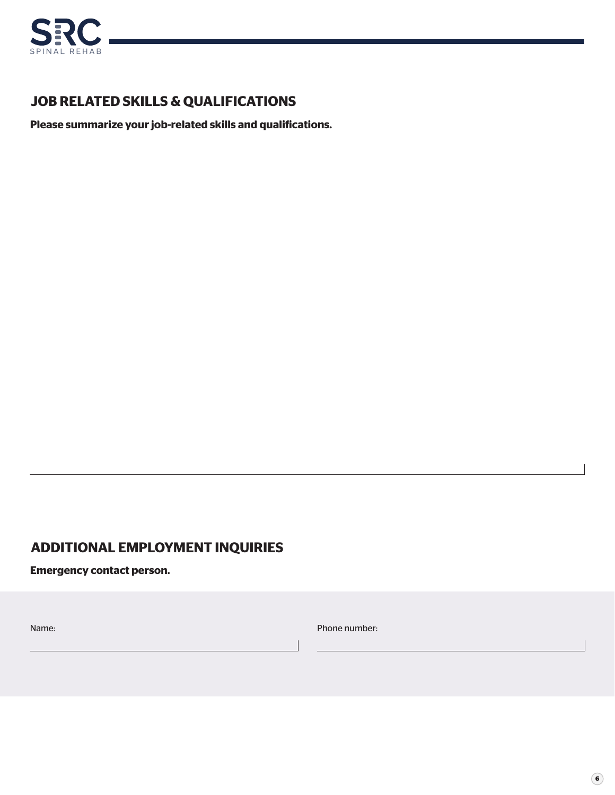

## **JOB RELATED SKILLS & QUALIFICATIONS**

**Please summarize your job-related skills and qualifications.**

#### **ADDITIONAL EMPLOYMENT INQUIRIES**

**Emergency contact person.**

Name: Phone number: Phone number: Phone number: Phone number: Phone number: Phone number: Phone number: Phone number: Phone number: Phone number: Phone number: Phone number: Phone number: Phone number: Phone number: Phone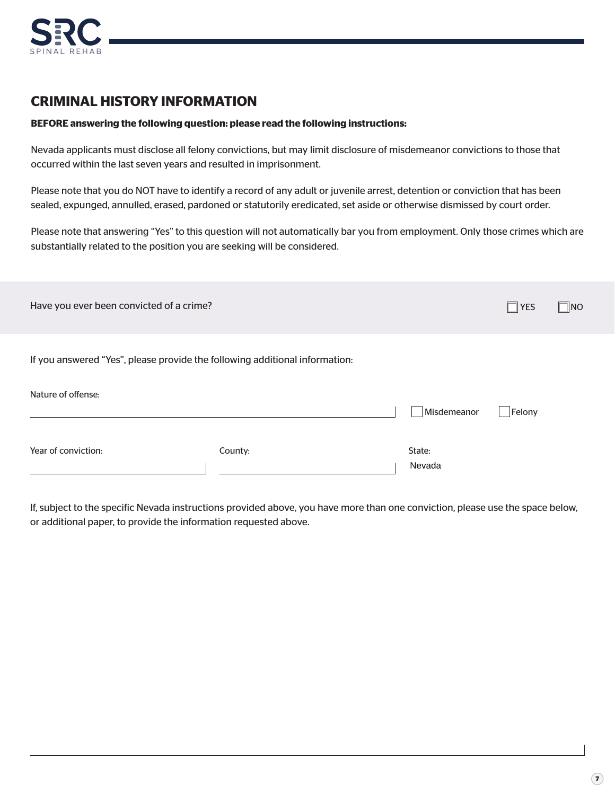

#### **CRIMINAL HISTORY INFORMATION**

#### **BEFORE answering the following question: please read the following instructions:**

Nevada applicants must disclose all felony convictions, but may limit disclosure of misdemeanor convictions to those that occurred within the last seven years and resulted in imprisonment.

Please note that you do NOT have to identify a record of any adult or juvenile arrest, detention or conviction that has been sealed, expunged, annulled, erased, pardoned or statutorily eredicated, set aside or otherwise dismissed by court order.

Please note that answering "Yes" to this question will not automatically bar you from employment. Only those crimes which are substantially related to the position you are seeking will be considered.

| Have you ever been convicted of a crime?                                    |         |                  | $\Box$ YES | $\Box$ NO |
|-----------------------------------------------------------------------------|---------|------------------|------------|-----------|
| If you answered "Yes", please provide the following additional information: |         |                  |            |           |
| Nature of offense:                                                          |         | Misdemeanor      | Felony     |           |
| Year of conviction:                                                         | County: | State:<br>Nevada |            |           |

If, subject to the specific Nevada instructions provided above, you have more than one conviction, please use the space below, or additional paper, to provide the information requested above.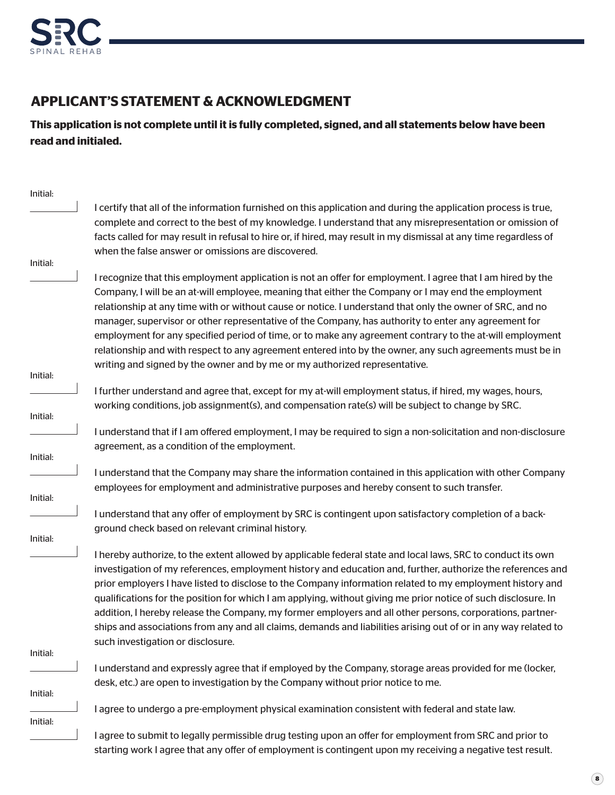

## **APPLICANT'S STATEMENT & ACKNOWLEDGMENT**

**This application is not complete until it is fully completed, signed, and all statements below have been read and initialed.**

| I certify that all of the information furnished on this application and during the application process is true,<br>complete and correct to the best of my knowledge. I understand that any misrepresentation or omission of<br>facts called for may result in refusal to hire or, if hired, may result in my dismissal at any time regardless of<br>I recognize that this employment application is not an offer for employment. I agree that I am hired by the                                                                                                            |
|----------------------------------------------------------------------------------------------------------------------------------------------------------------------------------------------------------------------------------------------------------------------------------------------------------------------------------------------------------------------------------------------------------------------------------------------------------------------------------------------------------------------------------------------------------------------------|
|                                                                                                                                                                                                                                                                                                                                                                                                                                                                                                                                                                            |
|                                                                                                                                                                                                                                                                                                                                                                                                                                                                                                                                                                            |
| employment for any specified period of time, or to make any agreement contrary to the at-will employment<br>relationship and with respect to any agreement entered into by the owner, any such agreements must be in                                                                                                                                                                                                                                                                                                                                                       |
|                                                                                                                                                                                                                                                                                                                                                                                                                                                                                                                                                                            |
|                                                                                                                                                                                                                                                                                                                                                                                                                                                                                                                                                                            |
|                                                                                                                                                                                                                                                                                                                                                                                                                                                                                                                                                                            |
| I understand that if I am offered employment, I may be required to sign a non-solicitation and non-disclosure                                                                                                                                                                                                                                                                                                                                                                                                                                                              |
|                                                                                                                                                                                                                                                                                                                                                                                                                                                                                                                                                                            |
| I understand that the Company may share the information contained in this application with other Company                                                                                                                                                                                                                                                                                                                                                                                                                                                                   |
|                                                                                                                                                                                                                                                                                                                                                                                                                                                                                                                                                                            |
|                                                                                                                                                                                                                                                                                                                                                                                                                                                                                                                                                                            |
| I hereby authorize, to the extent allowed by applicable federal state and local laws, SRC to conduct its own                                                                                                                                                                                                                                                                                                                                                                                                                                                               |
| investigation of my references, employment history and education and, further, authorize the references and<br>prior employers I have listed to disclose to the Company information related to my employment history and<br>qualifications for the position for which I am applying, without giving me prior notice of such disclosure. In<br>addition, I hereby release the Company, my former employers and all other persons, corporations, partner-<br>ships and associations from any and all claims, demands and liabilities arising out of or in any way related to |
|                                                                                                                                                                                                                                                                                                                                                                                                                                                                                                                                                                            |
| I understand and expressly agree that if employed by the Company, storage areas provided for me (locker,                                                                                                                                                                                                                                                                                                                                                                                                                                                                   |
|                                                                                                                                                                                                                                                                                                                                                                                                                                                                                                                                                                            |
|                                                                                                                                                                                                                                                                                                                                                                                                                                                                                                                                                                            |
|                                                                                                                                                                                                                                                                                                                                                                                                                                                                                                                                                                            |
|                                                                                                                                                                                                                                                                                                                                                                                                                                                                                                                                                                            |
|                                                                                                                                                                                                                                                                                                                                                                                                                                                                                                                                                                            |